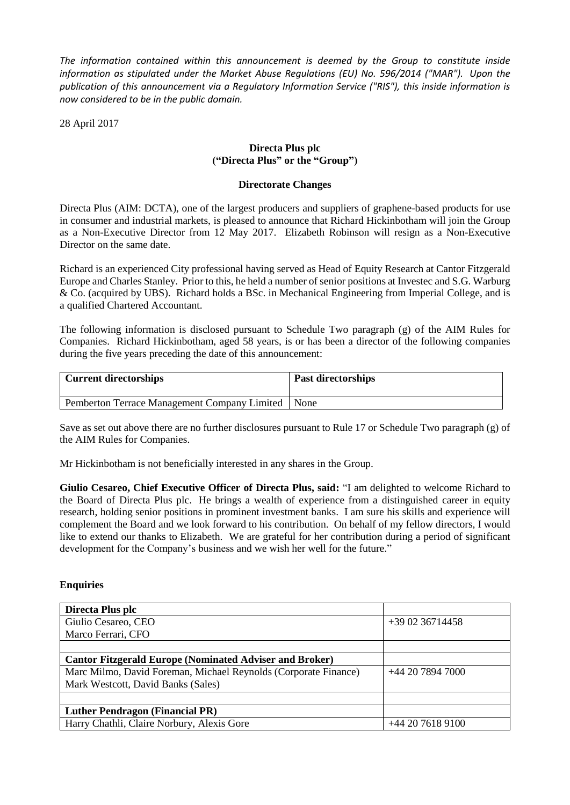*The information contained within this announcement is deemed by the Group to constitute inside information as stipulated under the Market Abuse Regulations (EU) No. 596/2014 ("MAR"). Upon the publication of this announcement via a Regulatory Information Service ("RIS"), this inside information is now considered to be in the public domain.*

28 April 2017

## **Directa Plus plc ("Directa Plus" or the "Group")**

## **Directorate Changes**

Directa Plus (AIM: DCTA), one of the largest producers and suppliers of graphene-based products for use in consumer and industrial markets, is pleased to announce that Richard Hickinbotham will join the Group as a Non-Executive Director from 12 May 2017. Elizabeth Robinson will resign as a Non-Executive Director on the same date.

Richard is an experienced City professional having served as Head of Equity Research at Cantor Fitzgerald Europe and Charles Stanley. Prior to this, he held a number of senior positions at Investec and S.G. Warburg & Co. (acquired by UBS). Richard holds a BSc. in Mechanical Engineering from Imperial College, and is a qualified Chartered Accountant.

The following information is disclosed pursuant to Schedule Two paragraph (g) of the AIM Rules for Companies. Richard Hickinbotham, aged 58 years, is or has been a director of the following companies during the five years preceding the date of this announcement:

| <b>Current directorships</b>                        | <b>Past directorships</b> |
|-----------------------------------------------------|---------------------------|
| Pemberton Terrace Management Company Limited   None |                           |

Save as set out above there are no further disclosures pursuant to Rule 17 or Schedule Two paragraph (g) of the AIM Rules for Companies.

Mr Hickinbotham is not beneficially interested in any shares in the Group.

**Giulio Cesareo, Chief Executive Officer of Directa Plus, said:** "I am delighted to welcome Richard to the Board of Directa Plus plc. He brings a wealth of experience from a distinguished career in equity research, holding senior positions in prominent investment banks. I am sure his skills and experience will complement the Board and we look forward to his contribution. On behalf of my fellow directors, I would like to extend our thanks to Elizabeth. We are grateful for her contribution during a period of significant development for the Company's business and we wish her well for the future."

## **Enquiries**

| Directa Plus plc                                                |                  |
|-----------------------------------------------------------------|------------------|
| Giulio Cesareo, CEO                                             | $+390236714458$  |
| Marco Ferrari, CFO                                              |                  |
|                                                                 |                  |
| <b>Cantor Fitzgerald Europe (Nominated Adviser and Broker)</b>  |                  |
| Marc Milmo, David Foreman, Michael Reynolds (Corporate Finance) | +44 20 7894 7000 |
| Mark Westcott, David Banks (Sales)                              |                  |
|                                                                 |                  |
| <b>Luther Pendragon (Financial PR)</b>                          |                  |
| Harry Chathli, Claire Norbury, Alexis Gore                      | +44 20 7618 9100 |